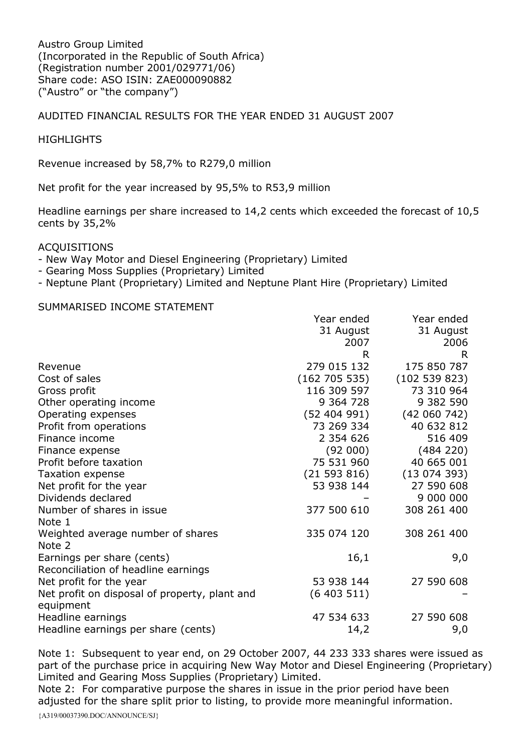Austro Group Limited (Incorporated in the Republic of South Africa) (Registration number 2001/029771/06) Share code: ASO ISIN: ZAE000090882 ("Austro" or "the company")

## AUDITED FINANCIAL RESULTS FOR THE YEAR ENDED 31 AUGUST 2007

### **HIGHLIGHTS**

Revenue increased by 58,7% to R279,0 million

Net profit for the year increased by 95,5% to R53,9 million

Headline earnings per share increased to 14,2 cents which exceeded the forecast of 10,5 cents by 35,2%

#### ACQUISITIONS

- New Way Motor and Diesel Engineering (Proprietary) Limited
- Gearing Moss Supplies (Proprietary) Limited
- Neptune Plant (Proprietary) Limited and Neptune Plant Hire (Proprietary) Limited

#### SUMMARISED INCOME STATEMENT

|                                               | Year ended    | Year ended   |
|-----------------------------------------------|---------------|--------------|
|                                               | 31 August     | 31 August    |
|                                               | 2007          | 2006         |
|                                               | R             | R.           |
| Revenue                                       | 279 015 132   | 175 850 787  |
| Cost of sales                                 | (162 705 535) | (102539823)  |
| Gross profit                                  | 116 309 597   | 73 310 964   |
| Other operating income                        | 9 364 728     | 9 382 590    |
| Operating expenses                            | (52 404 991)  | (42 060 742) |
| Profit from operations                        | 73 269 334    | 40 632 812   |
| Finance income                                | 2 3 5 4 6 2 6 | 516 409      |
| Finance expense                               | (92 000)      | (484 220)    |
| Profit before taxation                        | 75 531 960    | 40 665 001   |
| Taxation expense                              | (21593816)    | (13074393)   |
| Net profit for the year                       | 53 938 144    | 27 590 608   |
| Dividends declared                            |               | 9 000 000    |
| Number of shares in issue                     | 377 500 610   | 308 261 400  |
| Note 1                                        |               |              |
| Weighted average number of shares             | 335 074 120   | 308 261 400  |
| Note 2                                        |               |              |
| Earnings per share (cents)                    | 16,1          | 9,0          |
| Reconciliation of headline earnings           |               |              |
| Net profit for the year                       | 53 938 144    | 27 590 608   |
| Net profit on disposal of property, plant and | (6403511)     |              |
| equipment                                     |               |              |
| Headline earnings                             | 47 534 633    | 27 590 608   |
| Headline earnings per share (cents)           | 14,2          | 9,0          |

Note 1: Subsequent to year end, on 29 October 2007, 44 233 333 shares were issued as part of the purchase price in acquiring New Way Motor and Diesel Engineering (Proprietary) Limited and Gearing Moss Supplies (Proprietary) Limited.

Note 2: For comparative purpose the shares in issue in the prior period have been adjusted for the share split prior to listing, to provide more meaningful information.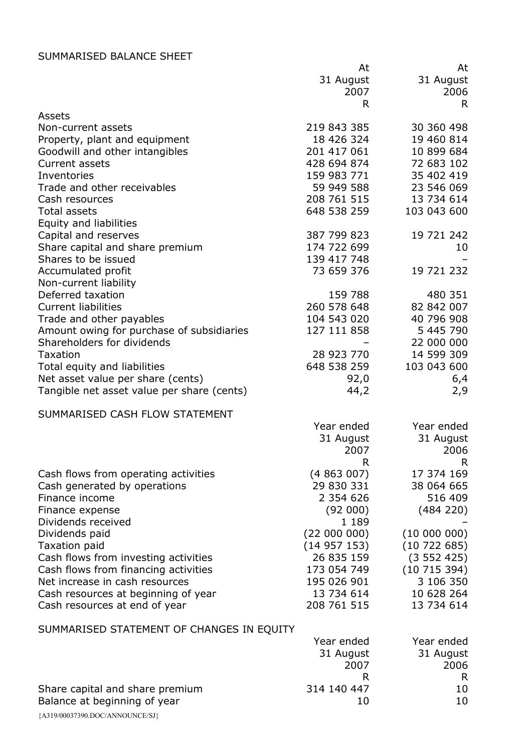# SUMMARISED BALANCE SHEET

|                                            | At<br>31 August<br>2007<br>R. | At<br>31 August<br>2006<br>R |
|--------------------------------------------|-------------------------------|------------------------------|
| Assets                                     |                               |                              |
| Non-current assets                         | 219 843 385                   | 30 360 498                   |
| Property, plant and equipment              | 18 426 324                    | 19 460 814                   |
| Goodwill and other intangibles             | 201 417 061                   | 10 899 684                   |
| Current assets                             | 428 694 874                   | 72 683 102                   |
| Inventories                                | 159 983 771                   | 35 402 419                   |
| Trade and other receivables                | 59 949 588                    | 23 546 069                   |
| Cash resources                             | 208 761 515                   | 13 734 614                   |
| Total assets                               | 648 538 259                   | 103 043 600                  |
| Equity and liabilities                     |                               |                              |
| Capital and reserves                       | 387 799 823                   | 19 721 242                   |
| Share capital and share premium            | 174 722 699                   | 10                           |
| Shares to be issued                        | 139 417 748                   |                              |
| Accumulated profit                         | 73 659 376                    | 19 721 232                   |
| Non-current liability                      |                               |                              |
| Deferred taxation                          | 159 788                       | 480 351                      |
| <b>Current liabilities</b>                 | 260 578 648                   | 82 842 007                   |
| Trade and other payables                   | 104 543 020                   | 40 796 908                   |
| Amount owing for purchase of subsidiaries  | 127 111 858                   | 5 445 790                    |
| Shareholders for dividends                 |                               | 22 000 000                   |
| <b>Taxation</b>                            | 28 923 770                    | 14 599 309                   |
| Total equity and liabilities               | 648 538 259                   | 103 043 600                  |
| Net asset value per share (cents)          | 92,0                          | 6,4                          |
| Tangible net asset value per share (cents) | 44,2                          | 2,9                          |
| SUMMARISED CASH FLOW STATEMENT             |                               |                              |
|                                            | Year ended                    | Year ended                   |
|                                            | 31 August                     | 31 August                    |
|                                            | 2007                          | 2006                         |
|                                            | R                             | R                            |
| Cash flows from operating activities       | (4863007)                     | 17 374 169                   |
| Cash generated by operations               | 29 830 331                    | 38 064 665                   |
| Finance income                             | 2 3 5 4 6 2 6                 | 516 409                      |
| Finance expense                            | (92 000)                      | (484 220)                    |
| Dividends received                         | 1 1 8 9                       |                              |
| Dividends paid                             | (22000000)                    | (1000000)                    |
| <b>Taxation paid</b>                       | (14957153)                    | (10722685)                   |
| Cash flows from investing activities       | 26 835 159                    | (3552425)                    |
| Cash flows from financing activities       | 173 054 749                   | (10715394)                   |
| Net increase in cash resources             | 195 026 901                   | 3 106 350                    |
| Cash resources at beginning of year        | 13 734 614                    | 10 628 264                   |
| Cash resources at end of year              | 208 761 515                   | 13 734 614                   |
| SUMMARISED STATEMENT OF CHANGES IN EQUITY  |                               |                              |
|                                            | Year ended                    | Year ended                   |
|                                            | 31 August                     | 31 August                    |
|                                            | 2007                          | 2006                         |
|                                            | R.                            | R                            |
| Share capital and share premium            | 314 140 447                   | 10                           |
| Balance at beginning of year               | 10                            | 10                           |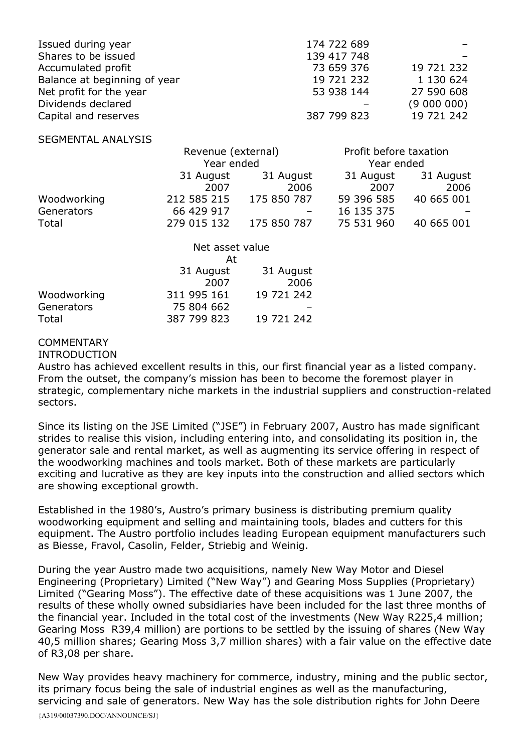| Issued during year           | 174 722 689 |             |
|------------------------------|-------------|-------------|
| Shares to be issued          | 139 417 748 |             |
| Accumulated profit           | 73 659 376  | 19 721 232  |
| Balance at beginning of year | 19 721 232  | 1 130 624   |
| Net profit for the year      | 53 938 144  | 27 590 608  |
| Dividends declared           |             | (9 000 000) |
| Capital and reserves         | 387 799 823 | 19 721 242  |

#### SEGMENTAL ANALYSIS

|             | Revenue (external) |             | Profit before taxation |            |
|-------------|--------------------|-------------|------------------------|------------|
|             | Year ended         |             | Year ended             |            |
|             | 31 August          | 31 August   | 31 August              | 31 August  |
|             | 2007               | 2006        | 2007                   | 2006       |
| Woodworking | 212 585 215        | 175 850 787 | 59 396 585             | 40 665 001 |
| Generators  | 66 429 917         |             | 16 135 375             |            |
| Total       | 279 015 132        | 175 850 787 | 75 531 960             | 40 665 001 |

|             | Net asset value<br>At |            |  |
|-------------|-----------------------|------------|--|
|             |                       |            |  |
|             | 31 August             | 31 August  |  |
|             | 2007                  | 2006       |  |
| Woodworking | 311 995 161           | 19 721 242 |  |
| Generators  | 75 804 662            |            |  |
| Total       | 387 799 823           | 19 721 242 |  |

## COMMENTARY

#### INTRODUCTION

Austro has achieved excellent results in this, our first financial year as a listed company. From the outset, the company's mission has been to become the foremost player in strategic, complementary niche markets in the industrial suppliers and construction-related sectors.

Since its listing on the JSE Limited ("JSE") in February 2007, Austro has made significant strides to realise this vision, including entering into, and consolidating its position in, the generator sale and rental market, as well as augmenting its service offering in respect of the woodworking machines and tools market. Both of these markets are particularly exciting and lucrative as they are key inputs into the construction and allied sectors which are showing exceptional growth.

Established in the 1980's, Austro's primary business is distributing premium quality woodworking equipment and selling and maintaining tools, blades and cutters for this equipment. The Austro portfolio includes leading European equipment manufacturers such as Biesse, Fravol, Casolin, Felder, Striebig and Weinig.

During the year Austro made two acquisitions, namely New Way Motor and Diesel Engineering (Proprietary) Limited ("New Way") and Gearing Moss Supplies (Proprietary) Limited ("Gearing Moss"). The effective date of these acquisitions was 1 June 2007, the results of these wholly owned subsidiaries have been included for the last three months of the financial year. Included in the total cost of the investments (New Way R225,4 million; Gearing Moss R39,4 million) are portions to be settled by the issuing of shares (New Way 40,5 million shares; Gearing Moss 3,7 million shares) with a fair value on the effective date of R3,08 per share.

New Way provides heavy machinery for commerce, industry, mining and the public sector, its primary focus being the sale of industrial engines as well as the manufacturing, servicing and sale of generators. New Way has the sole distribution rights for John Deere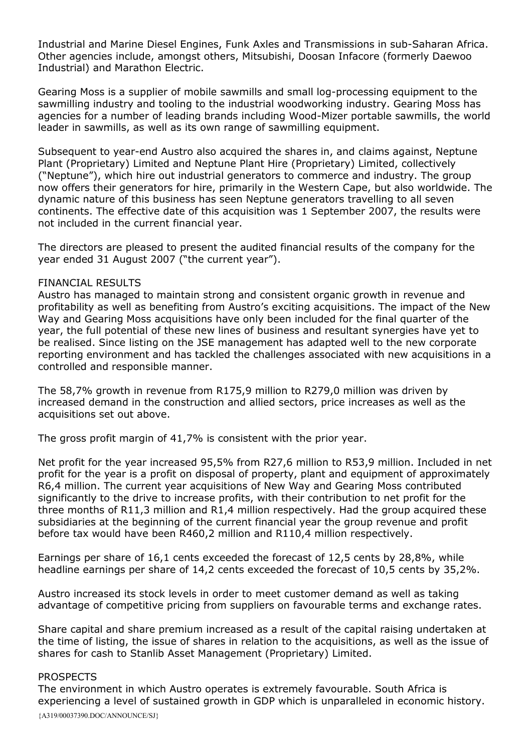Industrial and Marine Diesel Engines, Funk Axles and Transmissions in sub-Saharan Africa. Other agencies include, amongst others, Mitsubishi, Doosan Infacore (formerly Daewoo Industrial) and Marathon Electric.

Gearing Moss is a supplier of mobile sawmills and small log-processing equipment to the sawmilling industry and tooling to the industrial woodworking industry. Gearing Moss has agencies for a number of leading brands including Wood-Mizer portable sawmills, the world leader in sawmills, as well as its own range of sawmilling equipment.

Subsequent to year-end Austro also acquired the shares in, and claims against, Neptune Plant (Proprietary) Limited and Neptune Plant Hire (Proprietary) Limited, collectively ("Neptune"), which hire out industrial generators to commerce and industry. The group now offers their generators for hire, primarily in the Western Cape, but also worldwide. The dynamic nature of this business has seen Neptune generators travelling to all seven continents. The effective date of this acquisition was 1 September 2007, the results were not included in the current financial year.

The directors are pleased to present the audited financial results of the company for the year ended 31 August 2007 ("the current year").

### FINANCIAL RESULTS

Austro has managed to maintain strong and consistent organic growth in revenue and profitability as well as benefiting from Austro's exciting acquisitions. The impact of the New Way and Gearing Moss acquisitions have only been included for the final quarter of the year, the full potential of these new lines of business and resultant synergies have yet to be realised. Since listing on the JSE management has adapted well to the new corporate reporting environment and has tackled the challenges associated with new acquisitions in a controlled and responsible manner.

The 58,7% growth in revenue from R175,9 million to R279,0 million was driven by increased demand in the construction and allied sectors, price increases as well as the acquisitions set out above.

The gross profit margin of 41,7% is consistent with the prior year.

Net profit for the year increased 95,5% from R27,6 million to R53,9 million. Included in net profit for the year is a profit on disposal of property, plant and equipment of approximately R6,4 million. The current year acquisitions of New Way and Gearing Moss contributed significantly to the drive to increase profits, with their contribution to net profit for the three months of R11,3 million and R1,4 million respectively. Had the group acquired these subsidiaries at the beginning of the current financial year the group revenue and profit before tax would have been R460,2 million and R110,4 million respectively.

Earnings per share of 16,1 cents exceeded the forecast of 12,5 cents by 28,8%, while headline earnings per share of 14,2 cents exceeded the forecast of 10,5 cents by 35,2%.

Austro increased its stock levels in order to meet customer demand as well as taking advantage of competitive pricing from suppliers on favourable terms and exchange rates.

Share capital and share premium increased as a result of the capital raising undertaken at the time of listing, the issue of shares in relation to the acquisitions, as well as the issue of shares for cash to Stanlib Asset Management (Proprietary) Limited.

#### PROSPECTS

{A319/00037390.DOC/ANNOUNCE/SJ} The environment in which Austro operates is extremely favourable. South Africa is experiencing a level of sustained growth in GDP which is unparalleled in economic history.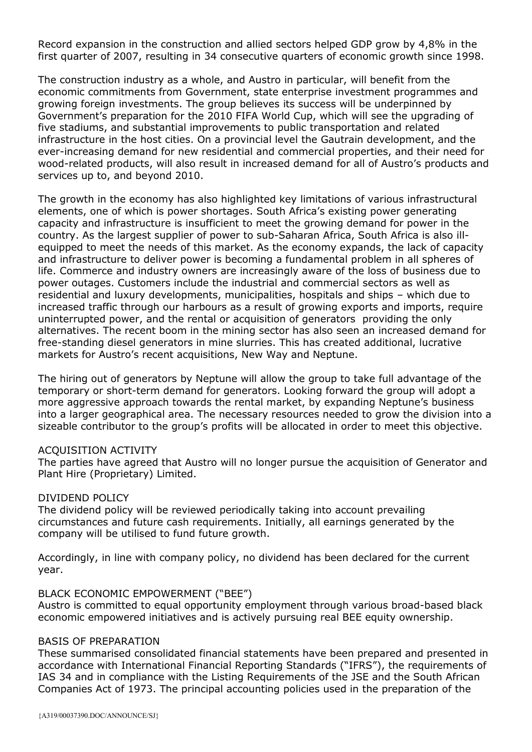Record expansion in the construction and allied sectors helped GDP grow by 4,8% in the first quarter of 2007, resulting in 34 consecutive quarters of economic growth since 1998.

The construction industry as a whole, and Austro in particular, will benefit from the economic commitments from Government, state enterprise investment programmes and growing foreign investments. The group believes its success will be underpinned by Government's preparation for the 2010 FIFA World Cup, which will see the upgrading of five stadiums, and substantial improvements to public transportation and related infrastructure in the host cities. On a provincial level the Gautrain development, and the ever-increasing demand for new residential and commercial properties, and their need for wood-related products, will also result in increased demand for all of Austro's products and services up to, and beyond 2010.

The growth in the economy has also highlighted key limitations of various infrastructural elements, one of which is power shortages. South Africa's existing power generating capacity and infrastructure is insufficient to meet the growing demand for power in the country. As the largest supplier of power to sub-Saharan Africa, South Africa is also illequipped to meet the needs of this market. As the economy expands, the lack of capacity and infrastructure to deliver power is becoming a fundamental problem in all spheres of life. Commerce and industry owners are increasingly aware of the loss of business due to power outages. Customers include the industrial and commercial sectors as well as residential and luxury developments, municipalities, hospitals and ships – which due to increased traffic through our harbours as a result of growing exports and imports, require uninterrupted power, and the rental or acquisition of generators providing the only alternatives. The recent boom in the mining sector has also seen an increased demand for free-standing diesel generators in mine slurries. This has created additional, lucrative markets for Austro's recent acquisitions, New Way and Neptune.

The hiring out of generators by Neptune will allow the group to take full advantage of the temporary or short-term demand for generators. Looking forward the group will adopt a more aggressive approach towards the rental market, by expanding Neptune's business into a larger geographical area. The necessary resources needed to grow the division into a sizeable contributor to the group's profits will be allocated in order to meet this objective.

### ACQUISITION ACTIVITY

The parties have agreed that Austro will no longer pursue the acquisition of Generator and Plant Hire (Proprietary) Limited.

#### DIVIDEND POLICY

The dividend policy will be reviewed periodically taking into account prevailing circumstances and future cash requirements. Initially, all earnings generated by the company will be utilised to fund future growth.

Accordingly, in line with company policy, no dividend has been declared for the current year.

## BLACK ECONOMIC EMPOWERMENT ("BEE")

Austro is committed to equal opportunity employment through various broad-based black economic empowered initiatives and is actively pursuing real BEE equity ownership.

#### BASIS OF PREPARATION

These summarised consolidated financial statements have been prepared and presented in accordance with International Financial Reporting Standards ("IFRS"), the requirements of IAS 34 and in compliance with the Listing Requirements of the JSE and the South African Companies Act of 1973. The principal accounting policies used in the preparation of the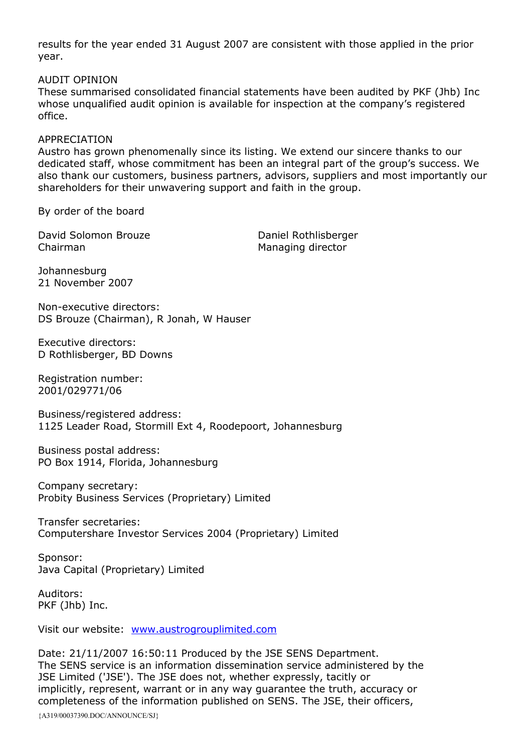results for the year ended 31 August 2007 are consistent with those applied in the prior year.

## AUDIT OPINION

These summarised consolidated financial statements have been audited by PKF (Jhb) Inc whose unqualified audit opinion is available for inspection at the company's registered office.

### APPRECIATION

Austro has grown phenomenally since its listing. We extend our sincere thanks to our dedicated staff, whose commitment has been an integral part of the group's success. We also thank our customers, business partners, advisors, suppliers and most importantly our shareholders for their unwavering support and faith in the group.

By order of the board

David Solomon Brouze Daniel Rothlisberger Chairman Managing director

Johannesburg 21 November 2007

Non-executive directors: DS Brouze (Chairman), R Jonah, W Hauser

Executive directors: D Rothlisberger, BD Downs

Registration number: 2001/029771/06

Business/registered address: 1125 Leader Road, Stormill Ext 4, Roodepoort, Johannesburg

Business postal address: PO Box 1914, Florida, Johannesburg

Company secretary: Probity Business Services (Proprietary) Limited

Transfer secretaries: Computershare Investor Services 2004 (Proprietary) Limited

Sponsor: Java Capital (Proprietary) Limited

Auditors: PKF (Jhb) Inc.

Visit our website: [www.austrogrouplimited.com](http://www.austrogrouplimited.com/)

Date: 21/11/2007 16:50:11 Produced by the JSE SENS Department. The SENS service is an information dissemination service administered by the JSE Limited ('JSE'). The JSE does not, whether expressly, tacitly or implicitly, represent, warrant or in any way guarantee the truth, accuracy or completeness of the information published on SENS. The JSE, their officers,

{A319/00037390.DOC/ANNOUNCE/SJ}